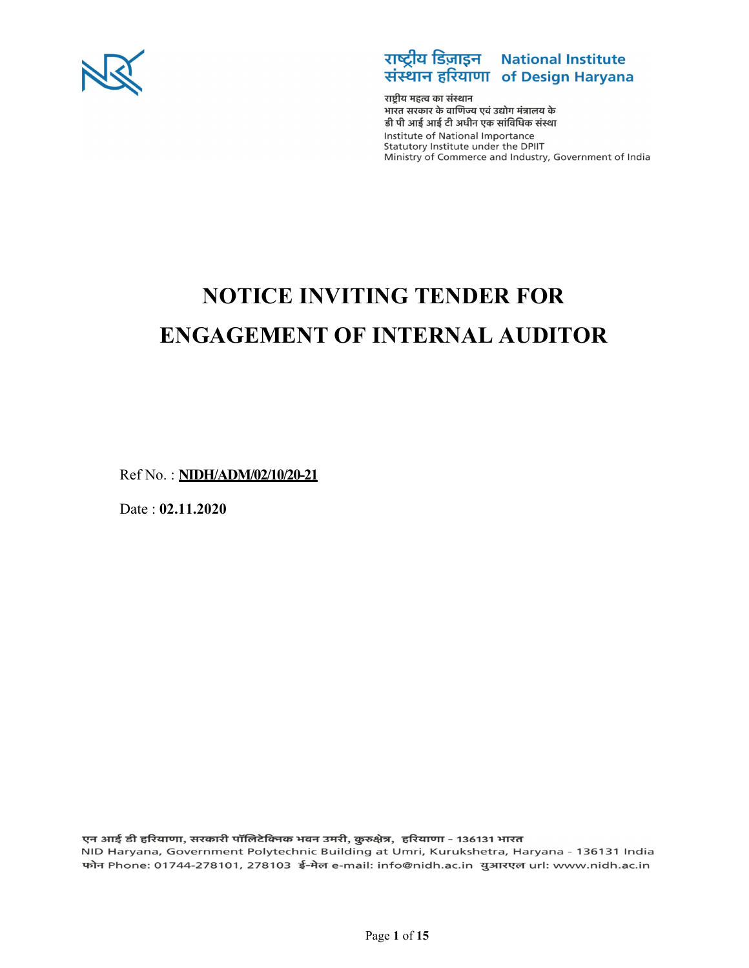



राष्टीय महत्व का संस्थान भारत सरकार के वाणिज्य एवं उद्योग मंत्रालय के डी पी आई आई टी अधीन एक सांविधिक संस्था Institute of National Importance Statutory Institute under the DPIIT Ministry of Commerce and Industry, Government of India

# **NOTICE INVITING TENDER FOR ENGAGEMENT OF INTERNAL AUDITOR**

Ref No. : **NIDH/ADM/02/10/20-21** 

Date : **02.11.2020** 

एन आई डी हरियाणा, सरकारी पॉलिटेक्निक भवन उमरी, कुरुक्षेत्र, हरियाणा - 136131 भारत NID Haryana, Government Polytechnic Building at Umri, Kurukshetra, Haryana - 136131 India फोन Phone: 01744-278101, 278103 ई-मेल e-mail: info@nidh.ac.in युआरएल url: www.nidh.ac.in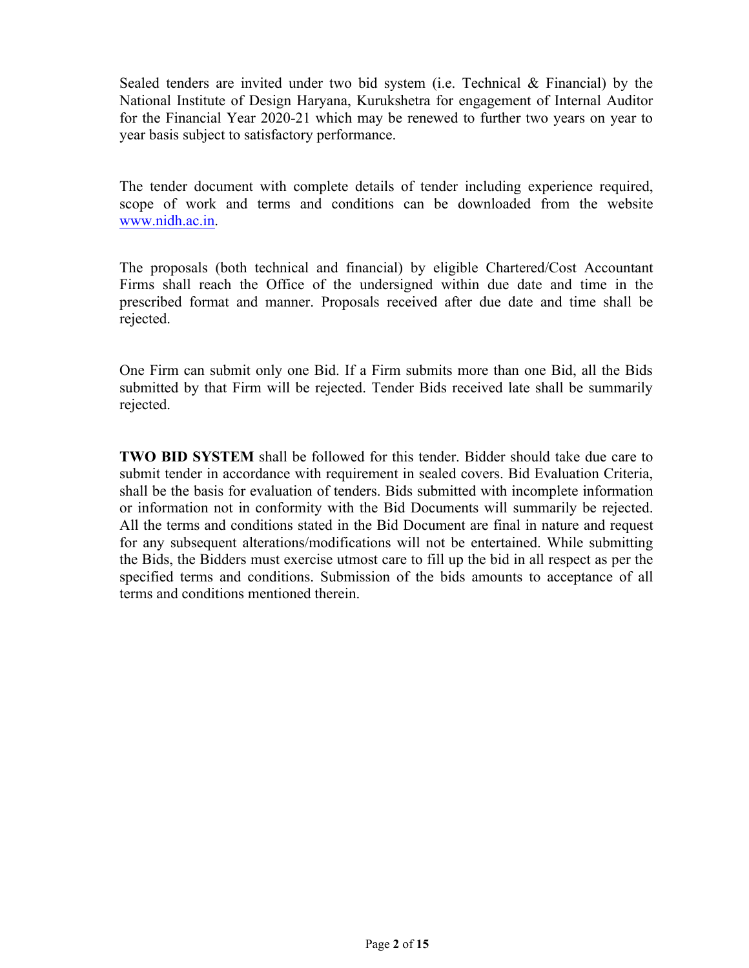Sealed tenders are invited under two bid system (i.e. Technical & Financial) by the National Institute of Design Haryana, Kurukshetra for engagement of Internal Auditor for the Financial Year 2020-21 which may be renewed to further two years on year to year basis subject to satisfactory performance.

The tender document with complete details of tender including experience required, scope of work and terms and conditions can be downloaded from the website www.nidh.ac.in.

The proposals (both technical and financial) by eligible Chartered/Cost Accountant Firms shall reach the Office of the undersigned within due date and time in the prescribed format and manner. Proposals received after due date and time shall be rejected.

One Firm can submit only one Bid. If a Firm submits more than one Bid, all the Bids submitted by that Firm will be rejected. Tender Bids received late shall be summarily rejected.

**TWO BID SYSTEM** shall be followed for this tender. Bidder should take due care to submit tender in accordance with requirement in sealed covers. Bid Evaluation Criteria, shall be the basis for evaluation of tenders. Bids submitted with incomplete information or information not in conformity with the Bid Documents will summarily be rejected. All the terms and conditions stated in the Bid Document are final in nature and request for any subsequent alterations/modifications will not be entertained. While submitting the Bids, the Bidders must exercise utmost care to fill up the bid in all respect as per the specified terms and conditions. Submission of the bids amounts to acceptance of all terms and conditions mentioned therein.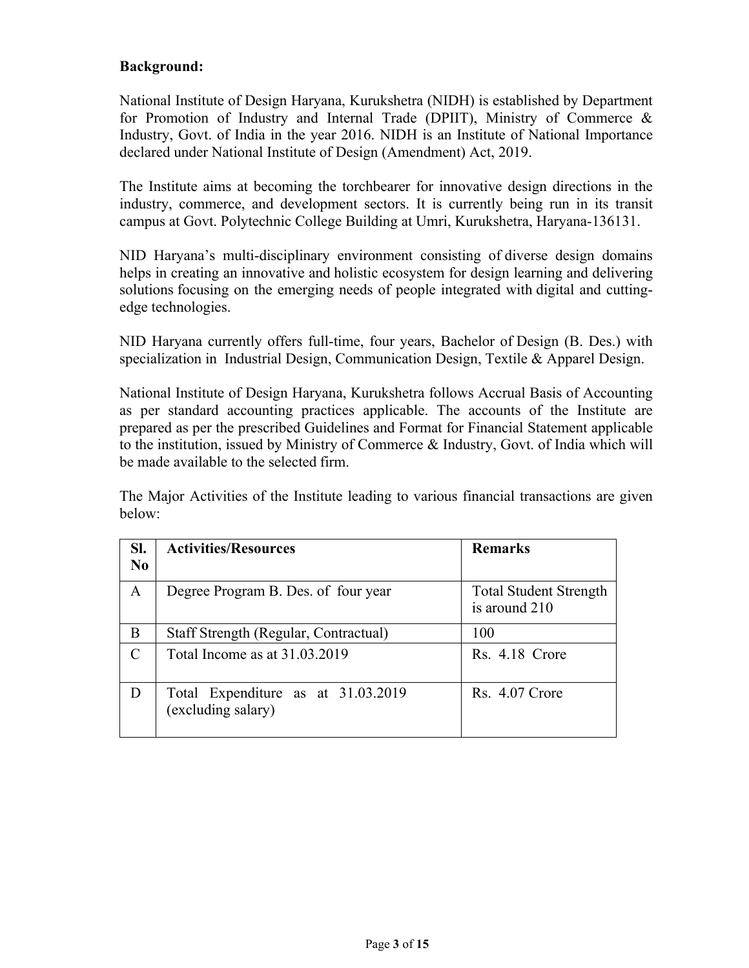#### **Background:**

National Institute of Design Haryana, Kurukshetra (NIDH) is established by Department for Promotion of Industry and Internal Trade (DPIIT), Ministry of Commerce & Industry, Govt. of India in the year 2016. NIDH is an Institute of National Importance declared under National Institute of Design (Amendment) Act, 2019.

The Institute aims at becoming the torchbearer for innovative design directions in the industry, commerce, and development sectors. It is currently being run in its transit campus at Govt. Polytechnic College Building at Umri, Kurukshetra, Haryana-136131.

NID Haryana's multi-disciplinary environment consisting of diverse design domains helps in creating an innovative and holistic ecosystem for design learning and delivering solutions focusing on the emerging needs of people integrated with digital and cuttingedge technologies.

NID Haryana currently offers full-time, four years, Bachelor of Design (B. Des.) with specialization in Industrial Design, Communication Design, Textile & Apparel Design.

National Institute of Design Haryana, Kurukshetra follows Accrual Basis of Accounting as per standard accounting practices applicable. The accounts of the Institute are prepared as per the prescribed Guidelines and Format for Financial Statement applicable to the institution, issued by Ministry of Commerce & Industry, Govt. of India which will be made available to the selected firm.

The Major Activities of the Institute leading to various financial transactions are given below:

| SI.            | <b>Activities/Resources</b>                              | <b>Remarks</b>                                 |
|----------------|----------------------------------------------------------|------------------------------------------------|
| N <sub>0</sub> |                                                          |                                                |
| $\mathbf{A}$   | Degree Program B. Des. of four year                      | <b>Total Student Strength</b><br>is around 210 |
| B              | Staff Strength (Regular, Contractual)                    | 100                                            |
| C              | Total Income as at 31.03.2019                            | Rs. 4.18 Crore                                 |
| D              | Total Expenditure as at 31.03.2019<br>(excluding salary) | Rs. 4.07 Crore                                 |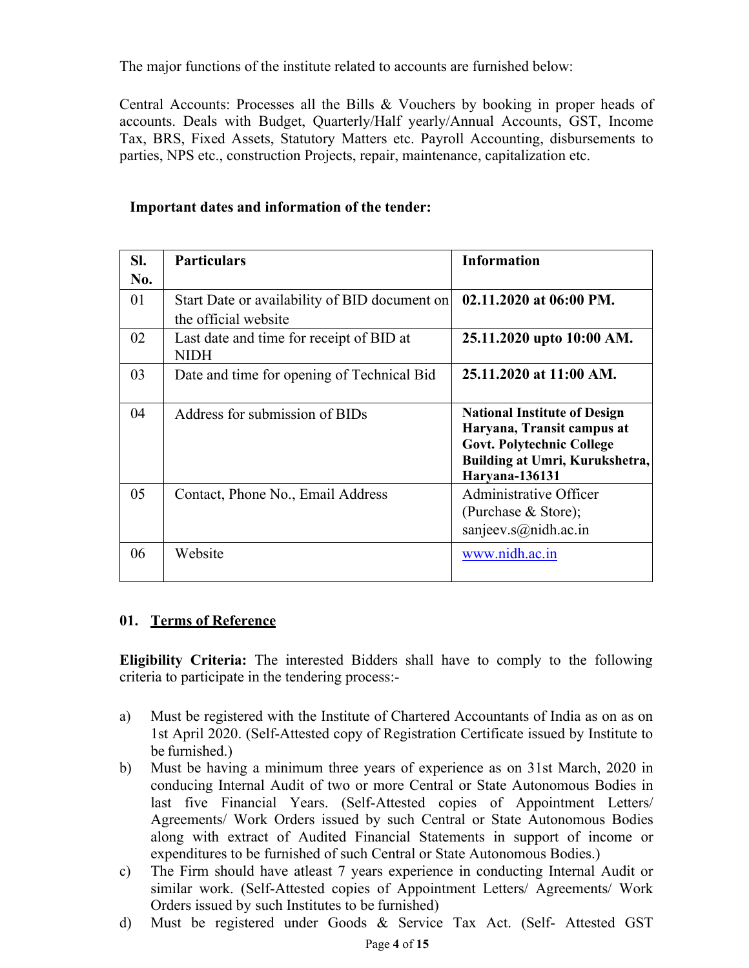The major functions of the institute related to accounts are furnished below:

Central Accounts: Processes all the Bills & Vouchers by booking in proper heads of accounts. Deals with Budget, Quarterly/Half yearly/Annual Accounts, GST, Income Tax, BRS, Fixed Assets, Statutory Matters etc. Payroll Accounting, disbursements to parties, NPS etc., construction Projects, repair, maintenance, capitalization etc.

| SI. | <b>Particulars</b>                                                    | <b>Information</b>                                                                                                                                               |
|-----|-----------------------------------------------------------------------|------------------------------------------------------------------------------------------------------------------------------------------------------------------|
| No. |                                                                       |                                                                                                                                                                  |
| 01  | Start Date or availability of BID document on<br>the official website | 02.11.2020 at 06:00 PM.                                                                                                                                          |
| 02  | Last date and time for receipt of BID at<br><b>NIDH</b>               | 25.11.2020 upto 10:00 AM.                                                                                                                                        |
| 03  | Date and time for opening of Technical Bid                            | 25.11.2020 at 11:00 AM.                                                                                                                                          |
| 04  | Address for submission of BIDs                                        | <b>National Institute of Design</b><br>Haryana, Transit campus at<br><b>Govt. Polytechnic College</b><br>Building at Umri, Kurukshetra,<br><b>Haryana-136131</b> |
| 05  | Contact, Phone No., Email Address                                     | Administrative Officer<br>(Purchase $&$ Store);<br>sanjeev.s $@$ nidh.ac.in                                                                                      |
| 06  | Website                                                               | www.nidh.ac.in                                                                                                                                                   |

#### **Important dates and information of the tender:**

#### **01. Terms of Reference**

**Eligibility Criteria:** The interested Bidders shall have to comply to the following criteria to participate in the tendering process:-

- a) Must be registered with the Institute of Chartered Accountants of India as on as on 1st April 2020. (Self-Attested copy of Registration Certificate issued by Institute to be furnished.)
- b) Must be having a minimum three years of experience as on 31st March, 2020 in conducing Internal Audit of two or more Central or State Autonomous Bodies in last five Financial Years. (Self-Attested copies of Appointment Letters/ Agreements/ Work Orders issued by such Central or State Autonomous Bodies along with extract of Audited Financial Statements in support of income or expenditures to be furnished of such Central or State Autonomous Bodies.)
- c) The Firm should have atleast 7 years experience in conducting Internal Audit or similar work. (Self-Attested copies of Appointment Letters/ Agreements/ Work Orders issued by such Institutes to be furnished)
- d) Must be registered under Goods & Service Tax Act. (Self- Attested GST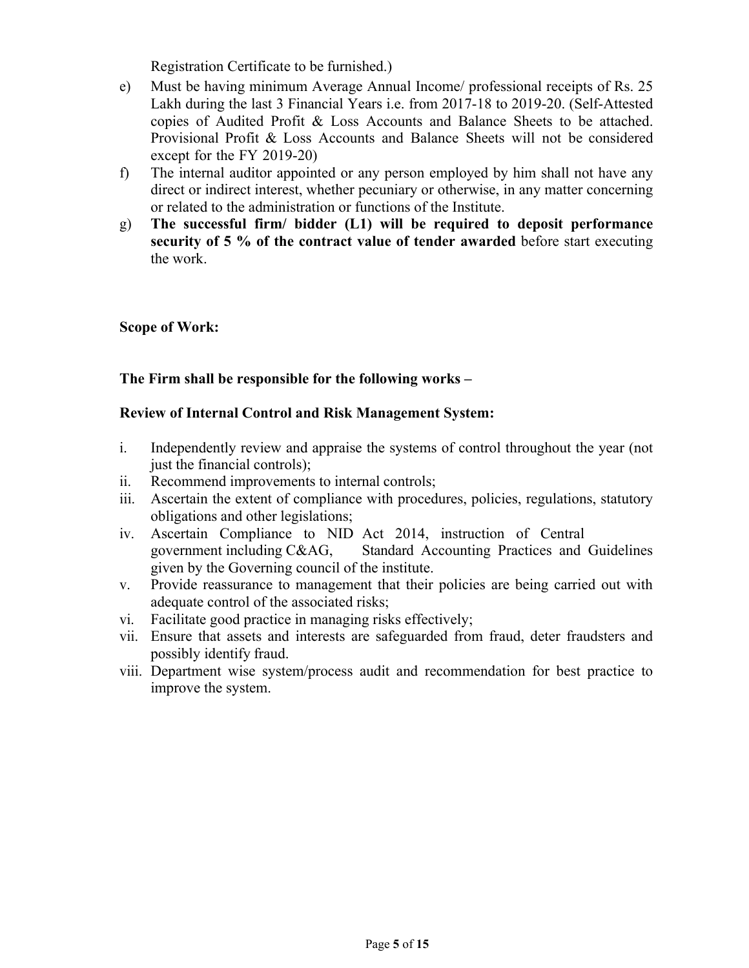Registration Certificate to be furnished.)

- e) Must be having minimum Average Annual Income/ professional receipts of Rs. 25 Lakh during the last 3 Financial Years i.e. from 2017-18 to 2019-20. (Self-Attested copies of Audited Profit & Loss Accounts and Balance Sheets to be attached. Provisional Profit & Loss Accounts and Balance Sheets will not be considered except for the FY 2019-20)
- f) The internal auditor appointed or any person employed by him shall not have any direct or indirect interest, whether pecuniary or otherwise, in any matter concerning or related to the administration or functions of the Institute.
- g) **The successful firm/ bidder (L1) will be required to deposit performance security of 5 % of the contract value of tender awarded** before start executing the work.

#### **Scope of Work:**

#### **The Firm shall be responsible for the following works –**

#### **Review of Internal Control and Risk Management System:**

- i. Independently review and appraise the systems of control throughout the year (not just the financial controls);
- ii. Recommend improvements to internal controls;
- iii. Ascertain the extent of compliance with procedures, policies, regulations, statutory obligations and other legislations;
- iv. Ascertain Compliance to NID Act 2014, instruction of Central government including C&AG, Standard Accounting Practices and Guidelines given by the Governing council of the institute.
- v. Provide reassurance to management that their policies are being carried out with adequate control of the associated risks;
- vi. Facilitate good practice in managing risks effectively;
- vii. Ensure that assets and interests are safeguarded from fraud, deter fraudsters and possibly identify fraud.
- viii. Department wise system/process audit and recommendation for best practice to improve the system.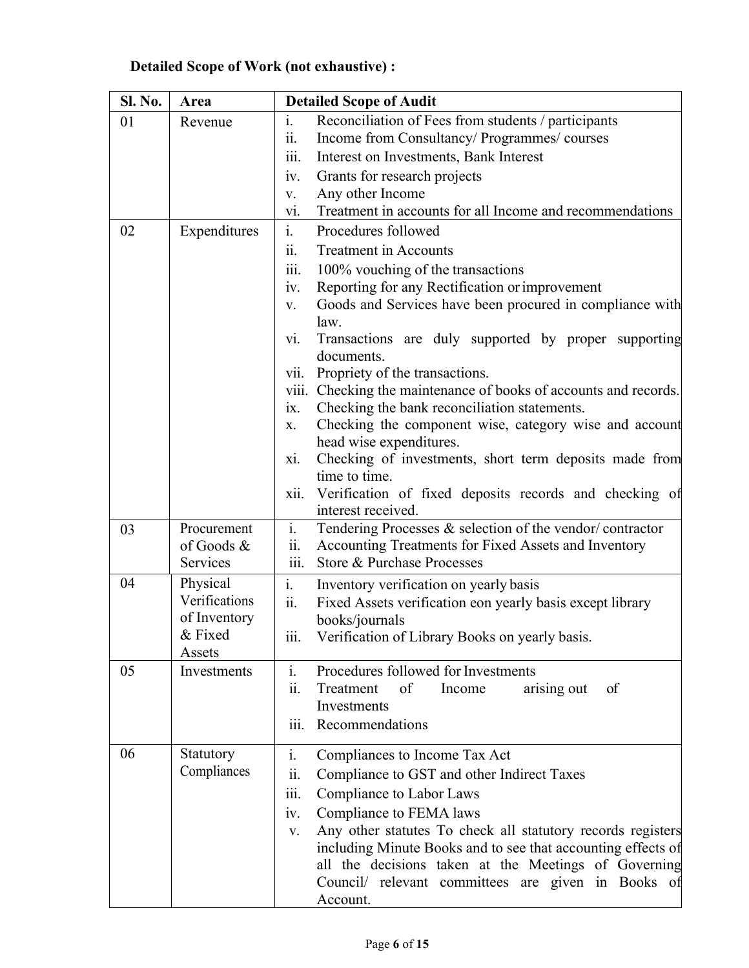|  | <b>Detailed Scope of Work (not exhaustive) :</b> |  |  |  |
|--|--------------------------------------------------|--|--|--|
|--|--------------------------------------------------|--|--|--|

| Sl. No. | Area          | <b>Detailed Scope of Audit</b>                                                 |  |  |
|---------|---------------|--------------------------------------------------------------------------------|--|--|
| 01      | Revenue       | i.<br>Reconciliation of Fees from students / participants                      |  |  |
|         |               | Income from Consultancy/ Programmes/ courses<br>$\overline{\mathbf{11}}$ .     |  |  |
|         |               | Interest on Investments, Bank Interest<br>111.                                 |  |  |
|         |               | Grants for research projects<br>iv.                                            |  |  |
|         |               | Any other Income<br>V.                                                         |  |  |
|         |               | Treatment in accounts for all Income and recommendations<br>vi.                |  |  |
| 02      | Expenditures  | $\mathbf{i}$ .<br>Procedures followed                                          |  |  |
|         |               | <b>Treatment in Accounts</b><br>11.                                            |  |  |
|         |               | 100% vouching of the transactions<br>iii.                                      |  |  |
|         |               | Reporting for any Rectification or improvement<br>1V.                          |  |  |
|         |               | Goods and Services have been procured in compliance with<br>V.                 |  |  |
|         |               | law.                                                                           |  |  |
|         |               | Transactions are duly supported by proper supporting<br>V1.<br>documents.      |  |  |
|         |               | Propriety of the transactions.<br>V11.                                         |  |  |
|         |               | Checking the maintenance of books of accounts and records.<br>viii.            |  |  |
|         |               | Checking the bank reconciliation statements.<br>ix.                            |  |  |
|         |               | Checking the component wise, category wise and account<br>X.                   |  |  |
|         |               | head wise expenditures.                                                        |  |  |
|         |               | Checking of investments, short term deposits made from<br>X1.<br>time to time. |  |  |
|         |               | Verification of fixed deposits records and checking of<br>xii.                 |  |  |
|         |               | interest received.                                                             |  |  |
| 03      | Procurement   | i.<br>Tendering Processes & selection of the vendor/contractor                 |  |  |
|         | of Goods &    | Accounting Treatments for Fixed Assets and Inventory<br>11.                    |  |  |
|         | Services      | Store & Purchase Processes                                                     |  |  |
| 04      | Physical      | Inventory verification on yearly basis<br>$\overline{1}$ .                     |  |  |
|         | Verifications | Fixed Assets verification eon yearly basis except library<br>11.               |  |  |
|         | of Inventory  | books/journals                                                                 |  |  |
|         | & Fixed       | Verification of Library Books on yearly basis.<br>111.                         |  |  |
|         | Assets        |                                                                                |  |  |
| 05      | Investments   | i.<br>Procedures followed for Investments                                      |  |  |
|         |               | of<br>Treatment<br>Income<br>arising out<br>of<br>11.                          |  |  |
|         |               | Investments                                                                    |  |  |
|         |               | Recommendations<br>111.                                                        |  |  |
| 06      | Statutory     | i.<br>Compliances to Income Tax Act                                            |  |  |
|         | Compliances   | Compliance to GST and other Indirect Taxes<br>11.                              |  |  |
|         |               | Compliance to Labor Laws<br>iii.                                               |  |  |
|         |               | Compliance to FEMA laws<br>iv.                                                 |  |  |
|         |               | Any other statutes To check all statutory records registers<br>V.              |  |  |
|         |               | including Minute Books and to see that accounting effects of                   |  |  |
|         |               | all the decisions taken at the Meetings of Governing                           |  |  |
|         |               | Council/ relevant committees are given in Books of                             |  |  |
|         |               | Account.                                                                       |  |  |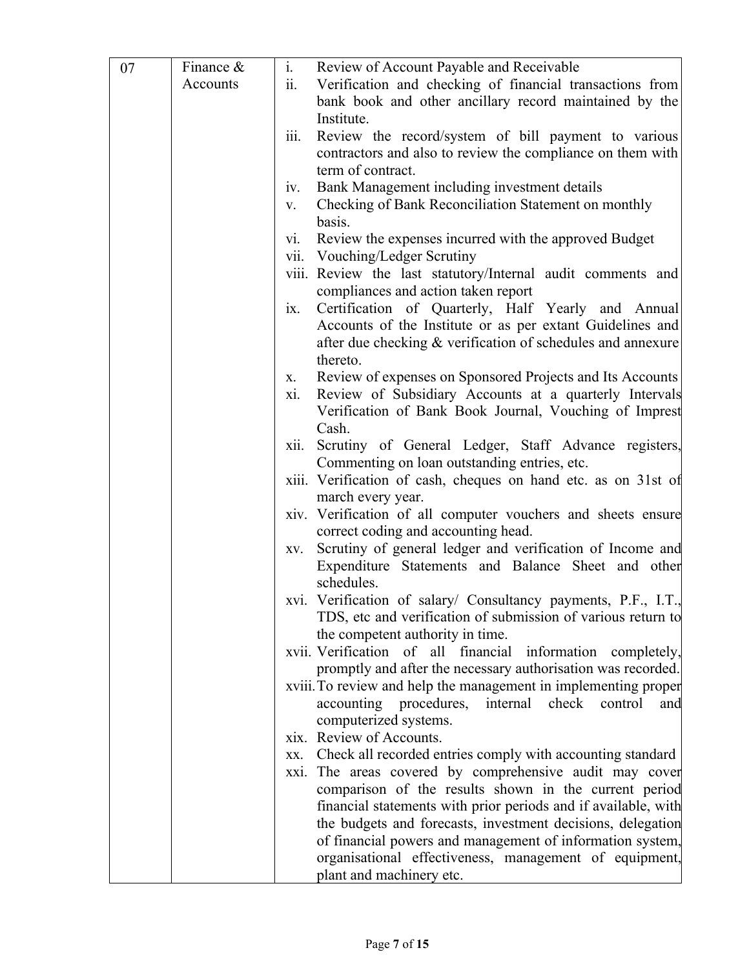| 07 | Finance $\&$ | i.                        | Review of Account Payable and Receivable                                                                                        |
|----|--------------|---------------------------|---------------------------------------------------------------------------------------------------------------------------------|
|    | Accounts     | ii.                       | Verification and checking of financial transactions from                                                                        |
|    |              |                           | bank book and other ancillary record maintained by the                                                                          |
|    |              |                           | Institute.                                                                                                                      |
|    |              | $\dddot{111}$ .           | Review the record/system of bill payment to various                                                                             |
|    |              |                           | contractors and also to review the compliance on them with                                                                      |
|    |              |                           | term of contract.                                                                                                               |
|    |              | 1V.                       | Bank Management including investment details                                                                                    |
|    |              | V.                        | Checking of Bank Reconciliation Statement on monthly                                                                            |
|    |              |                           | basis.                                                                                                                          |
|    |              | V1.                       | Review the expenses incurred with the approved Budget                                                                           |
|    |              |                           | vii. Vouching/Ledger Scrutiny                                                                                                   |
|    |              |                           | viii. Review the last statutory/Internal audit comments and                                                                     |
|    |              |                           | compliances and action taken report                                                                                             |
|    |              | $\mathbf{1} \mathbf{X}$ . | Certification of Quarterly, Half Yearly and Annual                                                                              |
|    |              |                           | Accounts of the Institute or as per extant Guidelines and                                                                       |
|    |              |                           | after due checking & verification of schedules and annexure                                                                     |
|    |              |                           | thereto.                                                                                                                        |
|    |              | X.<br>xi.                 | Review of expenses on Sponsored Projects and Its Accounts<br>Review of Subsidiary Accounts at a quarterly Intervals             |
|    |              |                           | Verification of Bank Book Journal, Vouching of Imprest                                                                          |
|    |              |                           | Cash.                                                                                                                           |
|    |              | xii.                      | Scrutiny of General Ledger, Staff Advance registers,                                                                            |
|    |              |                           | Commenting on loan outstanding entries, etc.                                                                                    |
|    |              |                           | xiii. Verification of cash, cheques on hand etc. as on 31st of                                                                  |
|    |              |                           | march every year.                                                                                                               |
|    |              |                           | xiv. Verification of all computer vouchers and sheets ensure                                                                    |
|    |              |                           | correct coding and accounting head.                                                                                             |
|    |              | XV.                       | Scrutiny of general ledger and verification of Income and                                                                       |
|    |              |                           | Expenditure Statements and Balance Sheet and other                                                                              |
|    |              |                           | schedules.                                                                                                                      |
|    |              |                           | xvi. Verification of salary/ Consultancy payments, P.F., I.T.,                                                                  |
|    |              |                           | TDS, etc and verification of submission of various return to                                                                    |
|    |              |                           | the competent authority in time.                                                                                                |
|    |              |                           | xvii. Verification of all financial information completely,                                                                     |
|    |              |                           | promptly and after the necessary authorisation was recorded.<br>xviii. To review and help the management in implementing proper |
|    |              |                           | accounting procedures,<br>internal check<br>control<br>and                                                                      |
|    |              |                           | computerized systems.                                                                                                           |
|    |              |                           | xix. Review of Accounts.                                                                                                        |
|    |              | XX.                       | Check all recorded entries comply with accounting standard                                                                      |
|    |              |                           | xxi. The areas covered by comprehensive audit may cover                                                                         |
|    |              |                           | comparison of the results shown in the current period                                                                           |
|    |              |                           | financial statements with prior periods and if available, with                                                                  |
|    |              |                           | the budgets and forecasts, investment decisions, delegation                                                                     |
|    |              |                           | of financial powers and management of information system,                                                                       |
|    |              |                           | organisational effectiveness, management of equipment,                                                                          |
|    |              |                           | plant and machinery etc.                                                                                                        |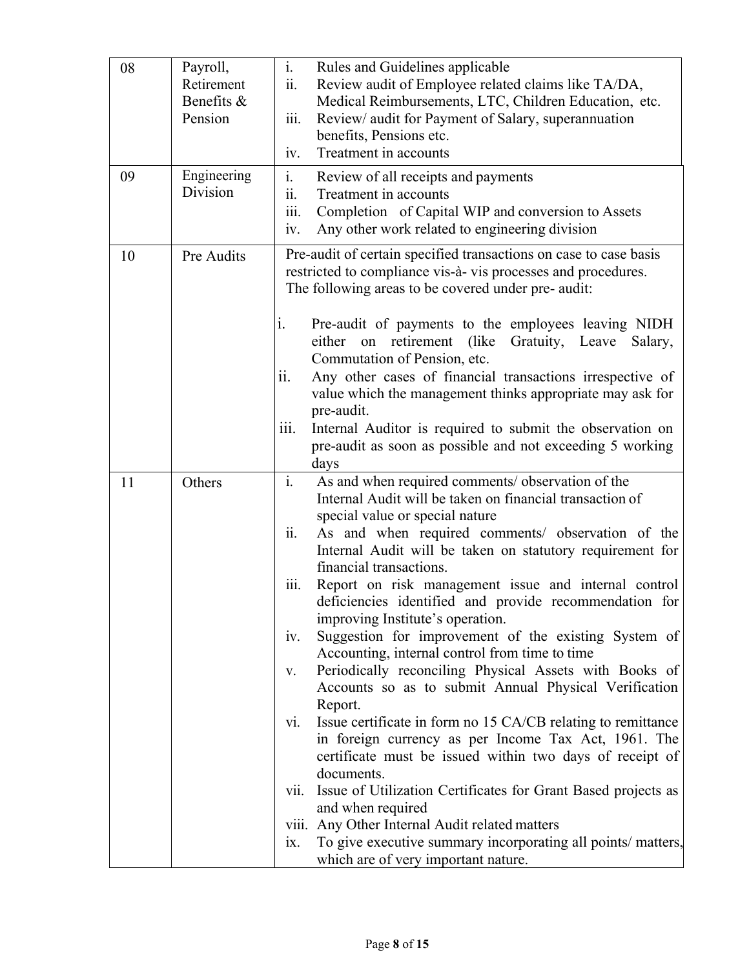| 08 | Payroll,<br>Retirement<br>Benefits &<br>Pension | $\mathbf{i}$ .<br>Rules and Guidelines applicable<br>ii.<br>Review audit of Employee related claims like TA/DA,<br>Medical Reimbursements, LTC, Children Education, etc.<br>$\overline{\text{iii}}$ .<br>Review/ audit for Payment of Salary, superannuation<br>benefits, Pensions etc.<br>Treatment in accounts<br>iv.                                                                                                                                                                                                                                                                                                                                                                                                                                                                                                                                                                                                                                                                                                                                                                                                                                                                                                                   |
|----|-------------------------------------------------|-------------------------------------------------------------------------------------------------------------------------------------------------------------------------------------------------------------------------------------------------------------------------------------------------------------------------------------------------------------------------------------------------------------------------------------------------------------------------------------------------------------------------------------------------------------------------------------------------------------------------------------------------------------------------------------------------------------------------------------------------------------------------------------------------------------------------------------------------------------------------------------------------------------------------------------------------------------------------------------------------------------------------------------------------------------------------------------------------------------------------------------------------------------------------------------------------------------------------------------------|
| 09 | Engineering<br>Division                         | i.<br>Review of all receipts and payments<br>$\dddot{\mathbf{i}}$ .<br>Treatment in accounts<br>Completion of Capital WIP and conversion to Assets<br>111.<br>Any other work related to engineering division<br>iv.                                                                                                                                                                                                                                                                                                                                                                                                                                                                                                                                                                                                                                                                                                                                                                                                                                                                                                                                                                                                                       |
| 10 | Pre Audits                                      | Pre-audit of certain specified transactions on case to case basis<br>restricted to compliance vis-à-vis processes and procedures.<br>The following areas to be covered under pre- audit:<br>i.<br>Pre-audit of payments to the employees leaving NIDH<br>either on retirement (like Gratuity, Leave<br>Salary,<br>Commutation of Pension, etc.<br>Any other cases of financial transactions irrespective of<br>11.<br>value which the management thinks appropriate may ask for<br>pre-audit.<br>Internal Auditor is required to submit the observation on<br>111.<br>pre-audit as soon as possible and not exceeding 5 working<br>days                                                                                                                                                                                                                                                                                                                                                                                                                                                                                                                                                                                                   |
| 11 | Others                                          | $\overline{\mathbf{i}}$ .<br>As and when required comments/ observation of the<br>Internal Audit will be taken on financial transaction of<br>special value or special nature<br>ii.<br>As and when required comments/ observation of the<br>Internal Audit will be taken on statutory requirement for<br>financial transactions.<br>iii.<br>Report on risk management issue and internal control<br>deficiencies identified and provide recommendation for<br>improving Institute's operation.<br>Suggestion for improvement of the existing System of<br>iv.<br>Accounting, internal control from time to time<br>Periodically reconciling Physical Assets with Books of<br>V.<br>Accounts so as to submit Annual Physical Verification<br>Report.<br>Issue certificate in form no 15 CA/CB relating to remittance<br>V1.<br>in foreign currency as per Income Tax Act, 1961. The<br>certificate must be issued within two days of receipt of<br>documents.<br>Issue of Utilization Certificates for Grant Based projects as<br>V11.<br>and when required<br>viii. Any Other Internal Audit related matters<br>To give executive summary incorporating all points/ matters,<br>$\overline{1}X$ .<br>which are of very important nature. |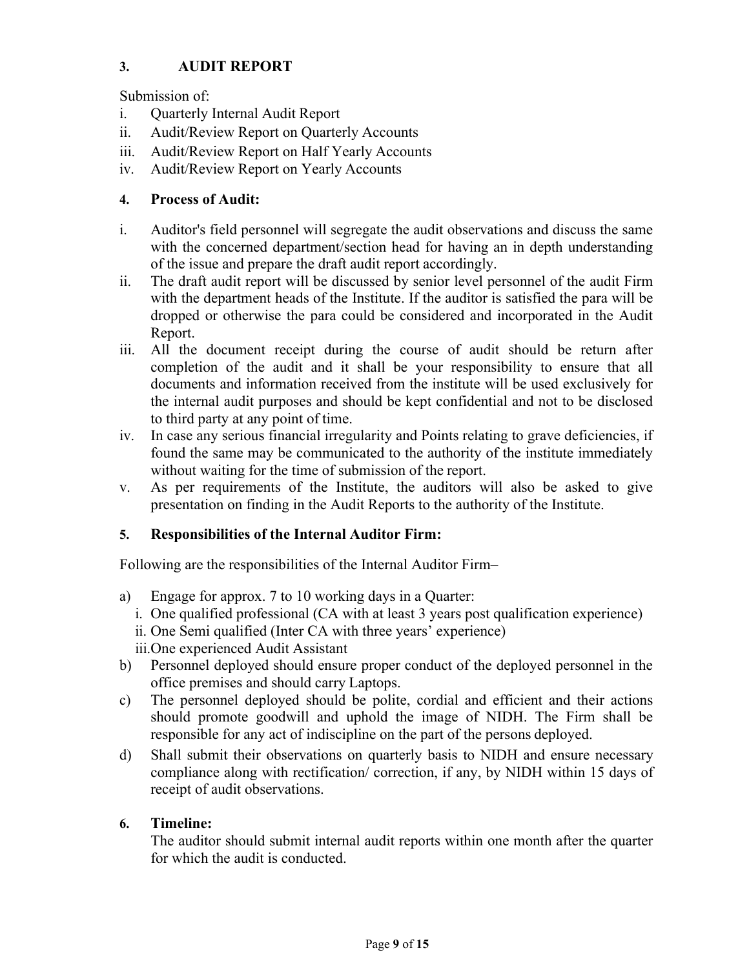# **3. AUDIT REPORT**

Submission of:

- i. Quarterly Internal Audit Report
- ii. Audit/Review Report on Quarterly Accounts
- iii. Audit/Review Report on Half Yearly Accounts
- iv. Audit/Review Report on Yearly Accounts

## **4. Process of Audit:**

- i. Auditor's field personnel will segregate the audit observations and discuss the same with the concerned department/section head for having an in depth understanding of the issue and prepare the draft audit report accordingly.
- ii. The draft audit report will be discussed by senior level personnel of the audit Firm with the department heads of the Institute. If the auditor is satisfied the para will be dropped or otherwise the para could be considered and incorporated in the Audit Report.
- iii. All the document receipt during the course of audit should be return after completion of the audit and it shall be your responsibility to ensure that all documents and information received from the institute will be used exclusively for the internal audit purposes and should be kept confidential and not to be disclosed to third party at any point of time.
- iv. In case any serious financial irregularity and Points relating to grave deficiencies, if found the same may be communicated to the authority of the institute immediately without waiting for the time of submission of the report.
- v. As per requirements of the Institute, the auditors will also be asked to give presentation on finding in the Audit Reports to the authority of the Institute.

### **5. Responsibilities of the Internal Auditor Firm:**

Following are the responsibilities of the Internal Auditor Firm–

- a) Engage for approx. 7 to 10 working days in a Quarter:
	- i. One qualified professional (CA with at least 3 years post qualification experience)
	- ii. One Semi qualified (Inter CA with three years' experience)
	- iii.One experienced Audit Assistant
- b) Personnel deployed should ensure proper conduct of the deployed personnel in the office premises and should carry Laptops.
- c) The personnel deployed should be polite, cordial and efficient and their actions should promote goodwill and uphold the image of NIDH. The Firm shall be responsible for any act of indiscipline on the part of the persons deployed.
- d) Shall submit their observations on quarterly basis to NIDH and ensure necessary compliance along with rectification/ correction, if any, by NIDH within 15 days of receipt of audit observations.

# **6. Timeline:**

The auditor should submit internal audit reports within one month after the quarter for which the audit is conducted.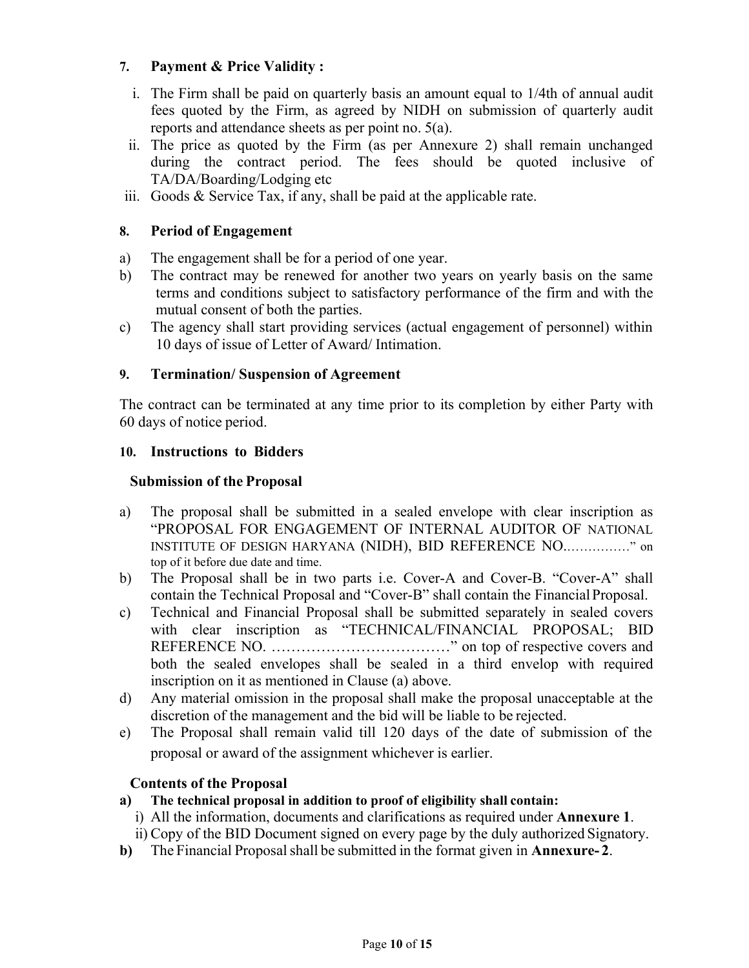#### **7. Payment & Price Validity :**

- i. The Firm shall be paid on quarterly basis an amount equal to 1/4th of annual audit fees quoted by the Firm, as agreed by NIDH on submission of quarterly audit reports and attendance sheets as per point no. 5(a).
- ii. The price as quoted by the Firm (as per Annexure 2) shall remain unchanged during the contract period. The fees should be quoted inclusive of TA/DA/Boarding/Lodging etc
- iii. Goods & Service Tax, if any, shall be paid at the applicable rate.

#### **8. Period of Engagement**

- a) The engagement shall be for a period of one year.
- b) The contract may be renewed for another two years on yearly basis on the same terms and conditions subject to satisfactory performance of the firm and with the mutual consent of both the parties.
- c) The agency shall start providing services (actual engagement of personnel) within 10 days of issue of Letter of Award/ Intimation.

#### **9. Termination/ Suspension of Agreement**

The contract can be terminated at any time prior to its completion by either Party with 60 days of notice period.

#### **10. Instructions to Bidders**

#### **Submission of the Proposal**

- a) The proposal shall be submitted in a sealed envelope with clear inscription as "PROPOSAL FOR ENGAGEMENT OF INTERNAL AUDITOR OF NATIONAL INSTITUTE OF DESIGN HARYANA (NIDH), BID REFERENCE NO.……………" on top of it before due date and time.
- b) The Proposal shall be in two parts i.e. Cover-A and Cover-B. "Cover-A" shall contain the Technical Proposal and "Cover-B" shall contain the Financial Proposal.
- c) Technical and Financial Proposal shall be submitted separately in sealed covers with clear inscription as "TECHNICAL/FINANCIAL PROPOSAL; BID REFERENCE NO. ………………………………" on top of respective covers and both the sealed envelopes shall be sealed in a third envelop with required inscription on it as mentioned in Clause (a) above.
- d) Any material omission in the proposal shall make the proposal unacceptable at the discretion of the management and the bid will be liable to be rejected.
- e) The Proposal shall remain valid till 120 days of the date of submission of the proposal or award of the assignment whichever is earlier.

#### **Contents of the Proposal**

- **a) The technical proposal in addition to proof of eligibility shall contain:** 
	- i) All the information, documents and clarifications as required under **Annexure 1**.
- ii) Copy of the BID Document signed on every page by the duly authorized Signatory. **b)** The Financial Proposal shall be submitted in the format given in **Annexure- 2**.
	- Page **10** of **15**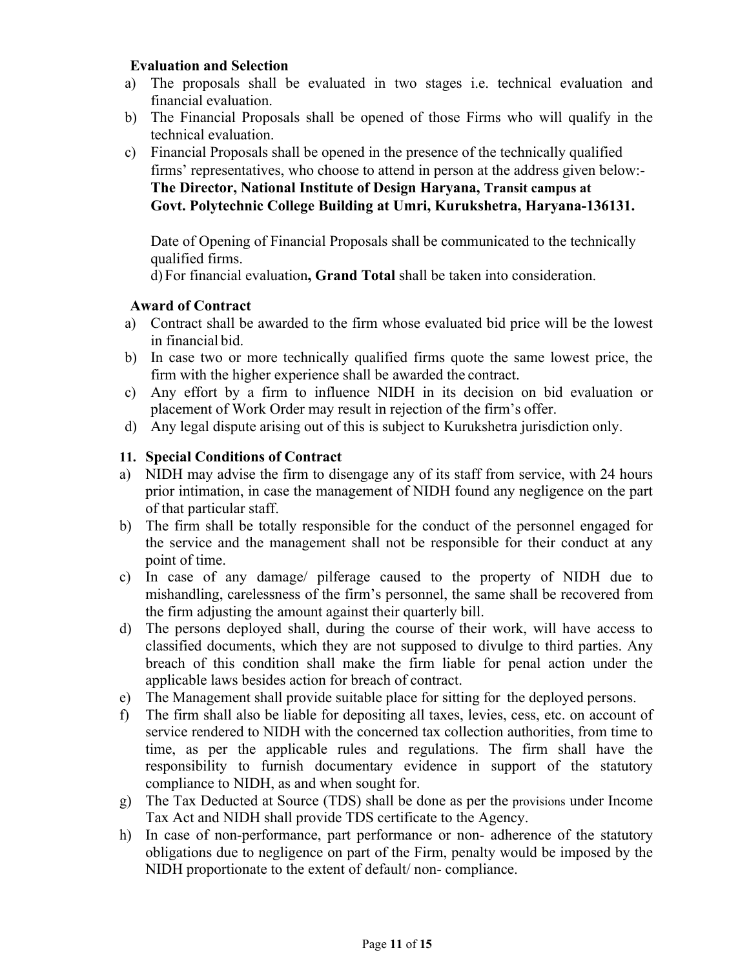#### **Evaluation and Selection**

- a) The proposals shall be evaluated in two stages i.e. technical evaluation and financial evaluation.
- b) The Financial Proposals shall be opened of those Firms who will qualify in the technical evaluation.
- c) Financial Proposals shall be opened in the presence of the technically qualified firms' representatives, who choose to attend in person at the address given below:- **The Director, National Institute of Design Haryana, Transit campus at Govt. Polytechnic College Building at Umri, Kurukshetra, Haryana-136131.**

Date of Opening of Financial Proposals shall be communicated to the technically qualified firms.

d) For financial evaluation**, Grand Total** shall be taken into consideration.

#### **Award of Contract**

- a) Contract shall be awarded to the firm whose evaluated bid price will be the lowest in financial bid.
- b) In case two or more technically qualified firms quote the same lowest price, the firm with the higher experience shall be awarded the contract.
- c) Any effort by a firm to influence NIDH in its decision on bid evaluation or placement of Work Order may result in rejection of the firm's offer.
- d) Any legal dispute arising out of this is subject to Kurukshetra jurisdiction only.

#### **11. Special Conditions of Contract**

- a) NIDH may advise the firm to disengage any of its staff from service, with 24 hours prior intimation, in case the management of NIDH found any negligence on the part of that particular staff.
- b) The firm shall be totally responsible for the conduct of the personnel engaged for the service and the management shall not be responsible for their conduct at any point of time.
- c) In case of any damage/ pilferage caused to the property of NIDH due to mishandling, carelessness of the firm's personnel, the same shall be recovered from the firm adjusting the amount against their quarterly bill.
- d) The persons deployed shall, during the course of their work, will have access to classified documents, which they are not supposed to divulge to third parties. Any breach of this condition shall make the firm liable for penal action under the applicable laws besides action for breach of contract.
- e) The Management shall provide suitable place for sitting for the deployed persons.
- f) The firm shall also be liable for depositing all taxes, levies, cess, etc. on account of service rendered to NIDH with the concerned tax collection authorities, from time to time, as per the applicable rules and regulations. The firm shall have the responsibility to furnish documentary evidence in support of the statutory compliance to NIDH, as and when sought for.
- g) The Tax Deducted at Source (TDS) shall be done as per the provisions under Income Tax Act and NIDH shall provide TDS certificate to the Agency.
- h) In case of non-performance, part performance or non- adherence of the statutory obligations due to negligence on part of the Firm, penalty would be imposed by the NIDH proportionate to the extent of default/ non- compliance.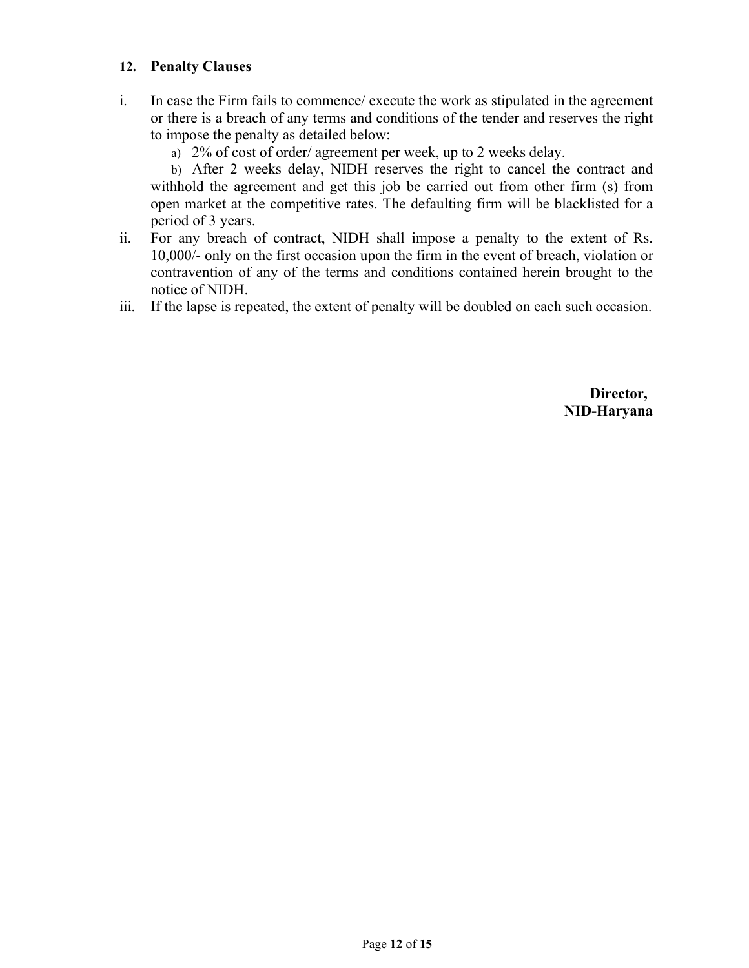#### **12. Penalty Clauses**

- i. In case the Firm fails to commence/ execute the work as stipulated in the agreement or there is a breach of any terms and conditions of the tender and reserves the right to impose the penalty as detailed below:
	- a) 2% of cost of order/ agreement per week, up to 2 weeks delay.

b) After 2 weeks delay, NIDH reserves the right to cancel the contract and withhold the agreement and get this job be carried out from other firm (s) from open market at the competitive rates. The defaulting firm will be blacklisted for a period of 3 years.

- ii. For any breach of contract, NIDH shall impose a penalty to the extent of Rs. 10,000/- only on the first occasion upon the firm in the event of breach, violation or contravention of any of the terms and conditions contained herein brought to the notice of NIDH.
- iii. If the lapse is repeated, the extent of penalty will be doubled on each such occasion.

 **Director, NID-Haryana**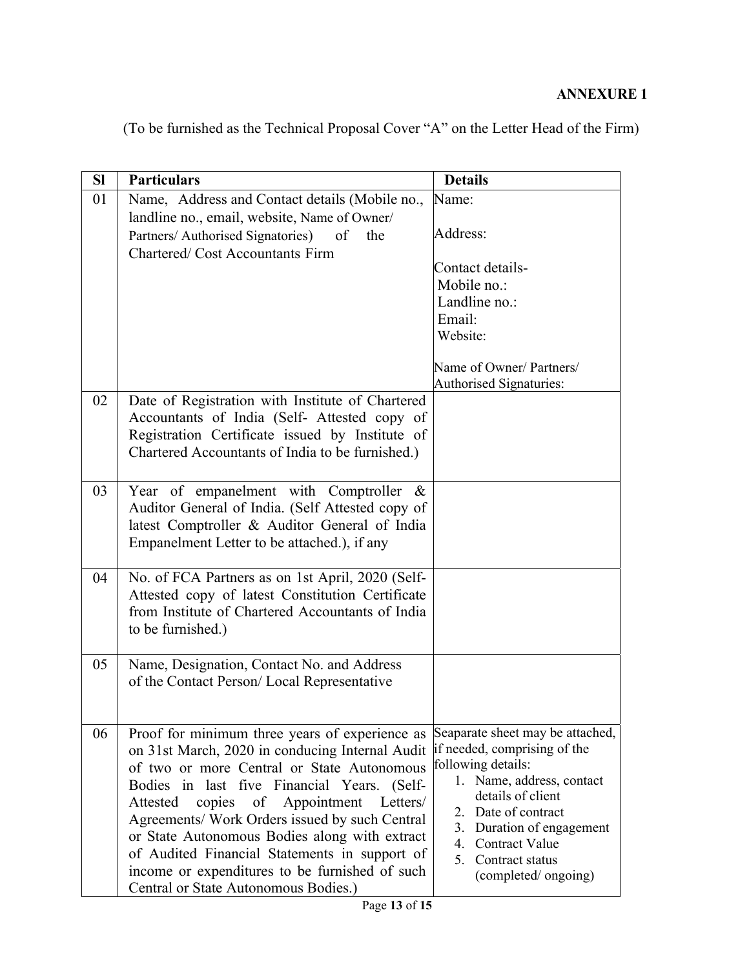# **ANNEXURE 1**

| (To be furnished as the Technical Proposal Cover "A" on the Letter Head of the Firm) |  |
|--------------------------------------------------------------------------------------|--|
|--------------------------------------------------------------------------------------|--|

| SI | <b>Particulars</b>                                                                                                                                                                                                                                                                                                                                                                                                                                                                               | <b>Details</b>                                                                                                                                                                                                                                                 |
|----|--------------------------------------------------------------------------------------------------------------------------------------------------------------------------------------------------------------------------------------------------------------------------------------------------------------------------------------------------------------------------------------------------------------------------------------------------------------------------------------------------|----------------------------------------------------------------------------------------------------------------------------------------------------------------------------------------------------------------------------------------------------------------|
| 01 | Name, Address and Contact details (Mobile no.,<br>landline no., email, website, Name of Owner/<br>Partners/ Authorised Signatories)<br>of<br>the<br><b>Chartered/Cost Accountants Firm</b>                                                                                                                                                                                                                                                                                                       | Name:<br>Address:<br>Contact details-<br>Mobile no.:<br>Landline no.:<br>Email:<br>Website:<br>Name of Owner/ Partners/<br><b>Authorised Signaturies:</b>                                                                                                      |
| 02 | Date of Registration with Institute of Chartered<br>Accountants of India (Self- Attested copy of<br>Registration Certificate issued by Institute of<br>Chartered Accountants of India to be furnished.)                                                                                                                                                                                                                                                                                          |                                                                                                                                                                                                                                                                |
| 03 | Year of empanelment with Comptroller &<br>Auditor General of India. (Self Attested copy of<br>latest Comptroller & Auditor General of India<br>Empanelment Letter to be attached.), if any                                                                                                                                                                                                                                                                                                       |                                                                                                                                                                                                                                                                |
| 04 | No. of FCA Partners as on 1st April, 2020 (Self-<br>Attested copy of latest Constitution Certificate<br>from Institute of Chartered Accountants of India<br>to be furnished.)                                                                                                                                                                                                                                                                                                                    |                                                                                                                                                                                                                                                                |
| 05 | Name, Designation, Contact No. and Address<br>of the Contact Person/Local Representative                                                                                                                                                                                                                                                                                                                                                                                                         |                                                                                                                                                                                                                                                                |
| 06 | Proof for minimum three years of experience as<br>on 31st March, 2020 in conducing Internal Audit<br>of two or more Central or State Autonomous<br>Bodies in last five Financial Years. (Self-<br>Appointment<br>copies of<br>Letters/<br>Attested<br>Agreements/ Work Orders issued by such Central<br>or State Autonomous Bodies along with extract<br>of Audited Financial Statements in support of<br>income or expenditures to be furnished of such<br>Central or State Autonomous Bodies.) | Seaparate sheet may be attached,<br>if needed, comprising of the<br>following details:<br>1. Name, address, contact<br>details of client<br>2. Date of contract<br>3. Duration of engagement<br>4. Contract Value<br>5. Contract status<br>(completed/ongoing) |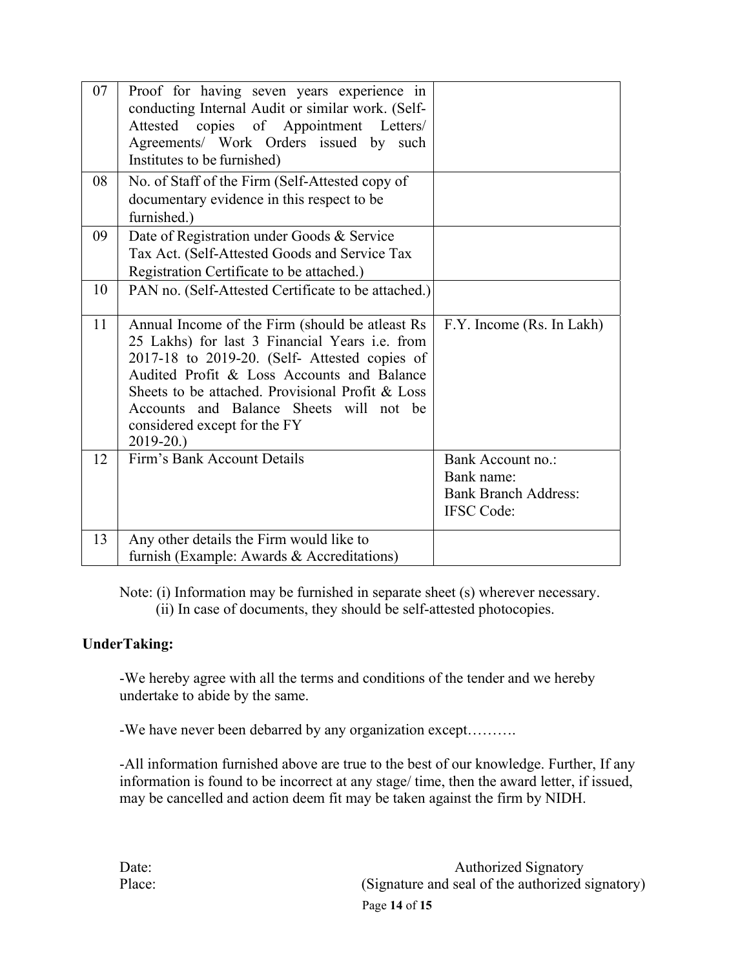| 07 | Proof for having seven years experience in<br>conducting Internal Audit or similar work. (Self-<br>Attested copies of Appointment Letters/<br>Agreements/ Work Orders issued by such<br>Institutes to be furnished)                                                                                                                          |                                                                                     |
|----|----------------------------------------------------------------------------------------------------------------------------------------------------------------------------------------------------------------------------------------------------------------------------------------------------------------------------------------------|-------------------------------------------------------------------------------------|
| 08 | No. of Staff of the Firm (Self-Attested copy of<br>documentary evidence in this respect to be<br>furnished.)                                                                                                                                                                                                                                 |                                                                                     |
| 09 | Date of Registration under Goods & Service<br>Tax Act. (Self-Attested Goods and Service Tax<br>Registration Certificate to be attached.)                                                                                                                                                                                                     |                                                                                     |
| 10 | PAN no. (Self-Attested Certificate to be attached.)                                                                                                                                                                                                                                                                                          |                                                                                     |
| 11 | Annual Income of the Firm (should be atleast Rs<br>25 Lakhs) for last 3 Financial Years i.e. from<br>2017-18 to 2019-20. (Self- Attested copies of<br>Audited Profit & Loss Accounts and Balance<br>Sheets to be attached. Provisional Profit & Loss<br>Accounts and Balance Sheets will not be<br>considered except for the FY<br>2019-20.) | F.Y. Income (Rs. In Lakh)                                                           |
| 12 | Firm's Bank Account Details                                                                                                                                                                                                                                                                                                                  | Bank Account no.:<br>Bank name:<br><b>Bank Branch Address:</b><br><b>IFSC</b> Code: |
| 13 | Any other details the Firm would like to<br>furnish (Example: Awards & Accreditations)                                                                                                                                                                                                                                                       |                                                                                     |

Note: (i) Information may be furnished in separate sheet (s) wherever necessary.

(ii) In case of documents, they should be self-attested photocopies.

# **UnderTaking:**

-We hereby agree with all the terms and conditions of the tender and we hereby undertake to abide by the same.

-We have never been debarred by any organization except……….

-All information furnished above are true to the best of our knowledge. Further, If any information is found to be incorrect at any stage/ time, then the award letter, if issued, may be cancelled and action deem fit may be taken against the firm by NIDH.

Page **14** of **15** Date: Authorized Signatory Place: (Signature and seal of the authorized signatory)